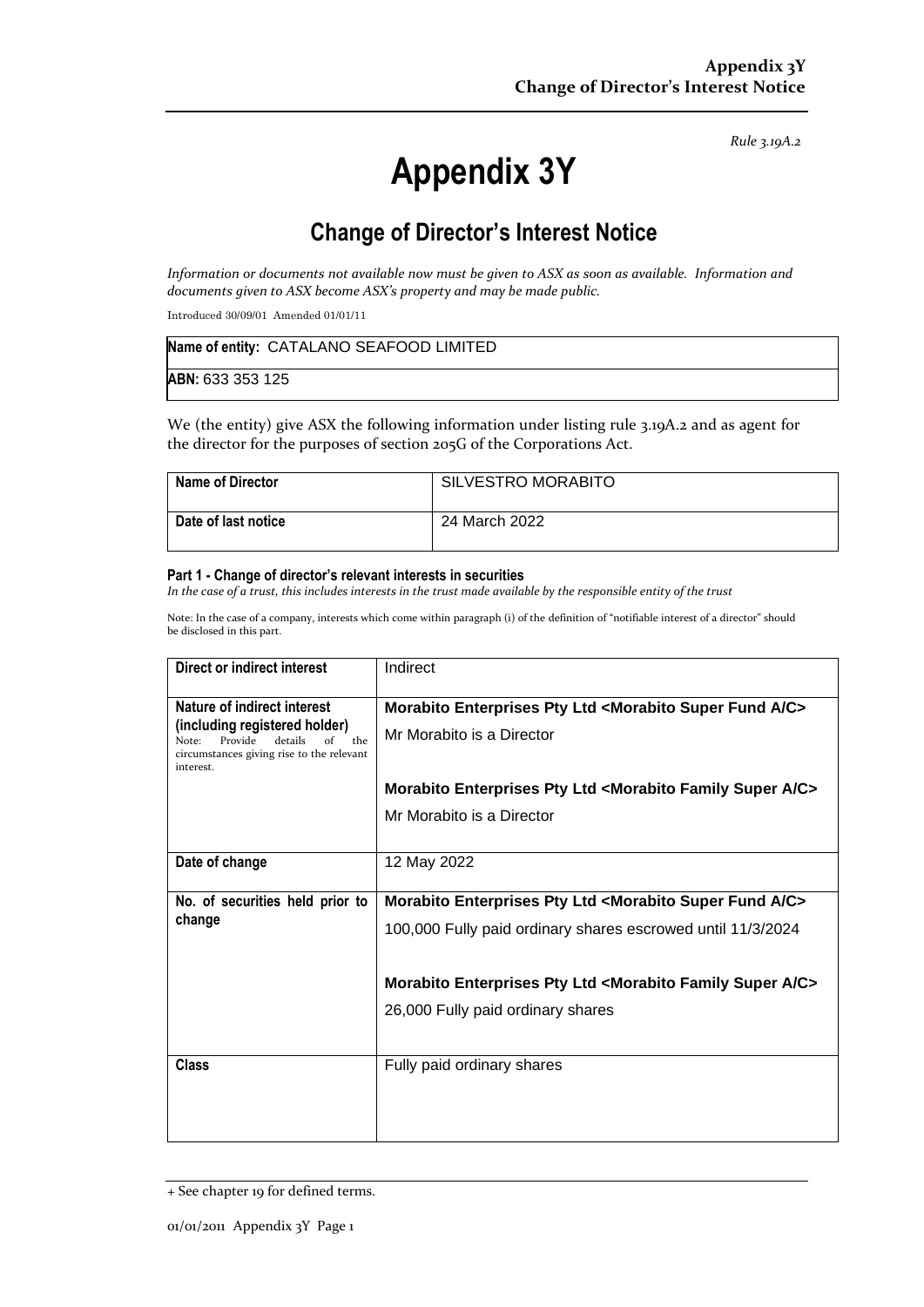*Rule 3.19A.2*

# **Appendix 3Y**

# **Change of Director's Interest Notice**

*Information or documents not available now must be given to ASX as soon as available. Information and documents given to ASX become ASX's property and may be made public.*

Introduced 30/09/01 Amended 01/01/11

| Name of entity: CATALANO SEAFOOD LIMITED |  |
|------------------------------------------|--|
| ABN: 633 353 125                         |  |

We (the entity) give ASX the following information under listing rule 3.19A.2 and as agent for the director for the purposes of section 205G of the Corporations Act.

| Name of Director           | <b>SILVESTRO MORABITO</b> |
|----------------------------|---------------------------|
| <b>Date of last notice</b> | 24 March 2022             |

#### **Part 1 - Change of director's relevant interests in securities**

*In the case of a trust, this includes interests in the trust made available by the responsible entity of the trust*

Note: In the case of a company, interests which come within paragraph (i) of the definition of "notifiable interest of a director" should be disclosed in this part.

| Direct or indirect interest                                                                                                         | Indirect                                                                        |  |
|-------------------------------------------------------------------------------------------------------------------------------------|---------------------------------------------------------------------------------|--|
| Nature of indirect interest                                                                                                         | Morabito Enterprises Pty Ltd <morabito a="" c="" fund="" super=""></morabito>   |  |
| (including registered holder)<br>details<br>the<br>Provide<br>Note:<br>of<br>circumstances giving rise to the relevant<br>interest. | Mr Morabito is a Director                                                       |  |
|                                                                                                                                     | Morabito Enterprises Pty Ltd <morabito a="" c="" family="" super=""></morabito> |  |
|                                                                                                                                     | Mr Morabito is a Director                                                       |  |
| Date of change                                                                                                                      | 12 May 2022                                                                     |  |
| No. of securities held prior to                                                                                                     | Morabito Enterprises Pty Ltd <morabito a="" c="" fund="" super=""></morabito>   |  |
| change                                                                                                                              | 100,000 Fully paid ordinary shares escrowed until 11/3/2024                     |  |
|                                                                                                                                     | Morabito Enterprises Pty Ltd <morabito a="" c="" family="" super=""></morabito> |  |
|                                                                                                                                     | 26,000 Fully paid ordinary shares                                               |  |
| Class                                                                                                                               | Fully paid ordinary shares                                                      |  |

<sup>+</sup> See chapter 19 for defined terms.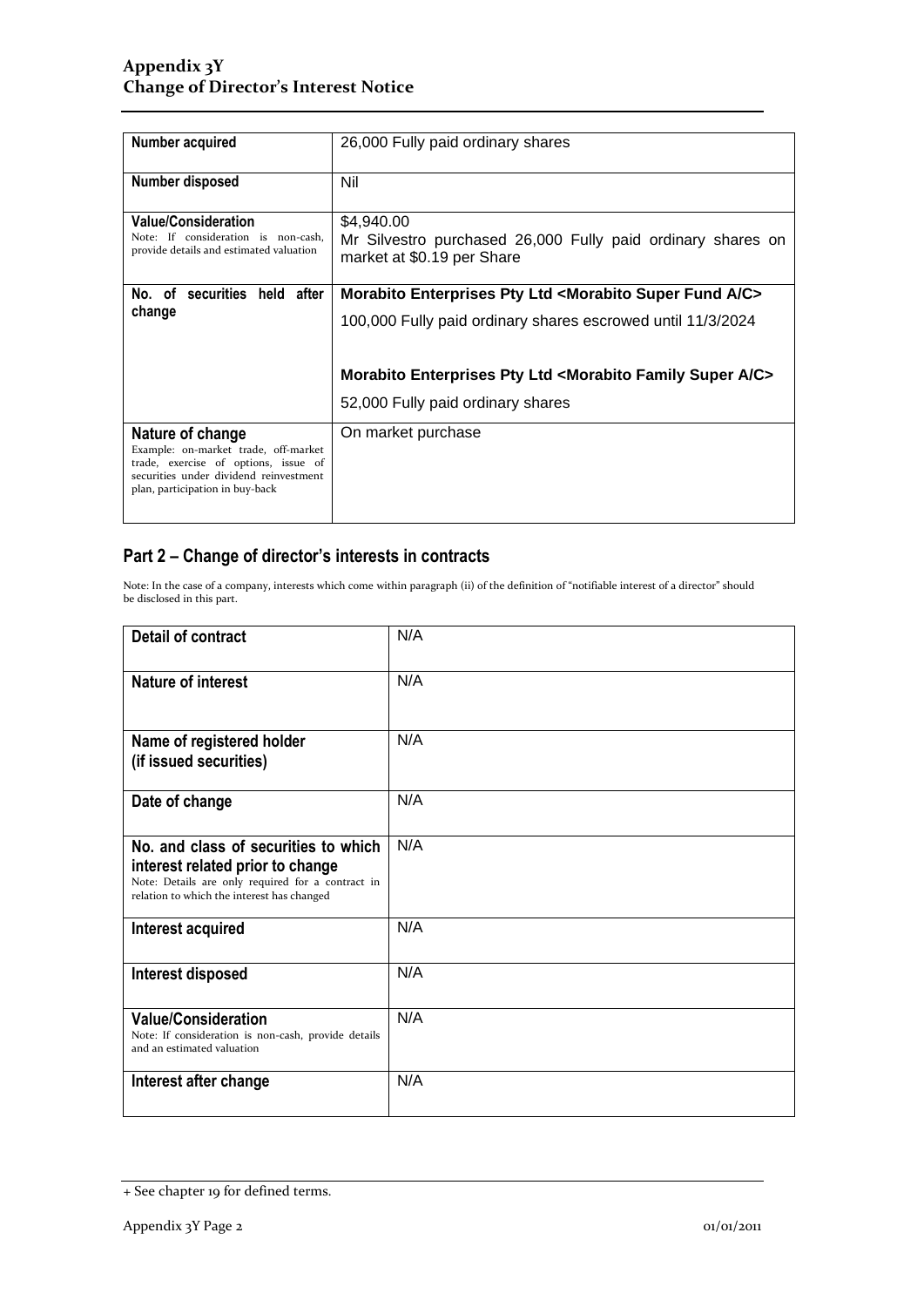| Number acquired                                                                                                                                                               | 26,000 Fully paid ordinary shares                                                                                                                                                                                                                                       |
|-------------------------------------------------------------------------------------------------------------------------------------------------------------------------------|-------------------------------------------------------------------------------------------------------------------------------------------------------------------------------------------------------------------------------------------------------------------------|
| Number disposed                                                                                                                                                               | Nil                                                                                                                                                                                                                                                                     |
| <b>Value/Consideration</b><br>Note: If consideration is non-cash,<br>provide details and estimated valuation                                                                  | \$4,940.00<br>Mr Silvestro purchased 26,000 Fully paid ordinary shares on<br>market at \$0.19 per Share                                                                                                                                                                 |
| No. of securities held after<br>change                                                                                                                                        | Morabito Enterprises Pty Ltd <morabito a="" c="" fund="" super=""><br/>100,000 Fully paid ordinary shares escrowed until 11/3/2024<br/>Morabito Enterprises Pty Ltd <morabito a="" c="" family="" super=""><br/>52,000 Fully paid ordinary shares</morabito></morabito> |
| Nature of change<br>Example: on-market trade, off-market<br>trade, exercise of options, issue of<br>securities under dividend reinvestment<br>plan, participation in buy-back | On market purchase                                                                                                                                                                                                                                                      |

### **Part 2 – Change of director's interests in contracts**

Note: In the case of a company, interests which come within paragraph (ii) of the definition of "notifiable interest of a director" should be disclosed in this part.

| <b>Detail of contract</b>                                                                                                                                                   | N/A |
|-----------------------------------------------------------------------------------------------------------------------------------------------------------------------------|-----|
| <b>Nature of interest</b>                                                                                                                                                   | N/A |
| Name of registered holder<br>(if issued securities)                                                                                                                         | N/A |
| Date of change                                                                                                                                                              | N/A |
| No. and class of securities to which<br>interest related prior to change<br>Note: Details are only required for a contract in<br>relation to which the interest has changed | N/A |
| Interest acquired                                                                                                                                                           | N/A |
| Interest disposed                                                                                                                                                           | N/A |
| <b>Value/Consideration</b><br>Note: If consideration is non-cash, provide details<br>and an estimated valuation                                                             | N/A |
| Interest after change                                                                                                                                                       | N/A |

<sup>+</sup> See chapter 19 for defined terms.